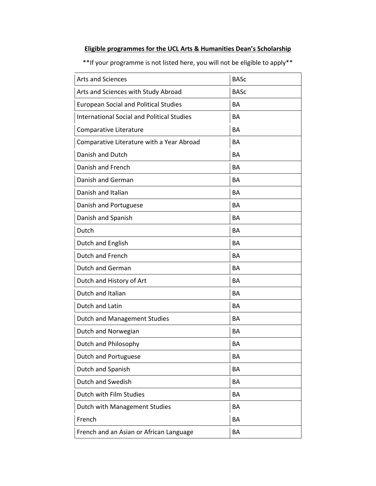## **Eligible programmes for the UCL Arts & Humanities Dean's Scholarship**

\*\*If your programme is not listed here, you will not be eligible to apply\*\*

| <b>Arts and Sciences</b>                          | <b>BASc</b> |
|---------------------------------------------------|-------------|
| Arts and Sciences with Study Abroad               | <b>BASC</b> |
| <b>European Social and Political Studies</b>      | <b>BA</b>   |
| <b>International Social and Political Studies</b> | <b>BA</b>   |
| Comparative Literature                            | <b>BA</b>   |
| Comparative Literature with a Year Abroad         | <b>BA</b>   |
| Danish and Dutch                                  | <b>BA</b>   |
| Danish and French                                 | <b>BA</b>   |
| Danish and German                                 | <b>BA</b>   |
| Danish and Italian                                | <b>BA</b>   |
| Danish and Portuguese                             | <b>BA</b>   |
| Danish and Spanish                                | <b>BA</b>   |
| Dutch                                             | <b>BA</b>   |
| Dutch and English                                 | <b>BA</b>   |
| Dutch and French                                  | <b>BA</b>   |
| Dutch and German                                  | <b>BA</b>   |
| Dutch and History of Art                          | <b>BA</b>   |
| Dutch and Italian                                 | <b>BA</b>   |
| Dutch and Latin                                   | <b>BA</b>   |
| <b>Dutch and Management Studies</b>               | <b>BA</b>   |
| Dutch and Norwegian                               | <b>BA</b>   |
| Dutch and Philosophy                              | BA          |
| <b>Dutch and Portuguese</b>                       | BA          |
| Dutch and Spanish                                 | BA          |
| Dutch and Swedish                                 | BA          |
| Dutch with Film Studies                           | BA          |
| Dutch with Management Studies                     | BA          |
| French                                            | BA          |
| French and an Asian or African Language           | BA          |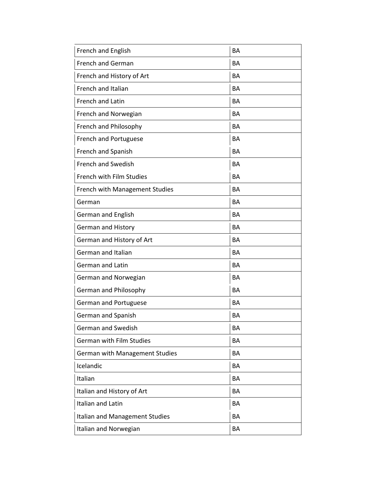| French and English                    | <b>BA</b> |
|---------------------------------------|-----------|
| <b>French and German</b>              | BA        |
| French and History of Art             | <b>BA</b> |
| French and Italian                    | <b>BA</b> |
| French and Latin                      | <b>BA</b> |
| French and Norwegian                  | <b>BA</b> |
| French and Philosophy                 | <b>BA</b> |
| French and Portuguese                 | <b>BA</b> |
| French and Spanish                    | <b>BA</b> |
| <b>French and Swedish</b>             | <b>BA</b> |
| <b>French with Film Studies</b>       | <b>BA</b> |
| <b>French with Management Studies</b> | <b>BA</b> |
| German                                | <b>BA</b> |
| German and English                    | <b>BA</b> |
| <b>German and History</b>             | <b>BA</b> |
| German and History of Art             | <b>BA</b> |
| German and Italian                    | <b>BA</b> |
| <b>German and Latin</b>               | <b>BA</b> |
| German and Norwegian                  | <b>BA</b> |
| German and Philosophy                 | <b>BA</b> |
| German and Portuguese                 | <b>BA</b> |
| German and Spanish                    | <b>BA</b> |
| <b>German and Swedish</b>             | BA        |
| <b>German with Film Studies</b>       | BA        |
| German with Management Studies        | BA        |
| Icelandic                             | BA        |
| Italian                               | BA        |
| Italian and History of Art            | BA        |
| Italian and Latin                     | BA        |
| Italian and Management Studies        | BA        |
| Italian and Norwegian                 | BA        |